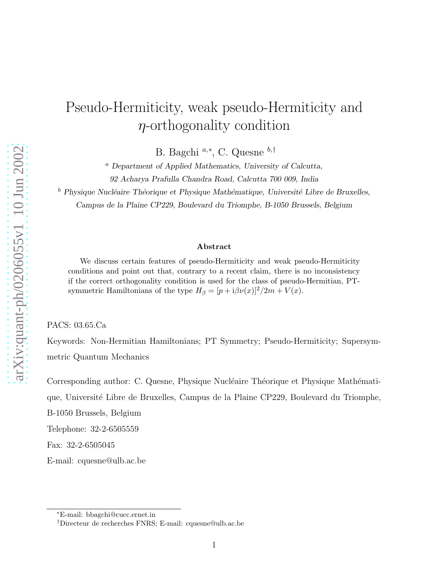## Pseudo-Hermiticity, weak pseudo-Hermiticity and  $\eta$ -orthogonality condition

B. Bagchi<sup>a,∗</sup>, C. Quesne <sup>b,†</sup>

<sup>a</sup> Department of Applied Mathematics, University of Calcutta, 92 Acharya Prafulla Chandra Road, Calcutta 700 009, India

 $^b$  Physique Nucléaire Théorique et Physique Mathématique, Université Libre de Bruxelles, Campus de la Plaine CP229, Boulevard du Triomphe, B-1050 Brussels, Belgium

## Abstract

We discuss certain features of pseudo-Hermiticity and weak pseudo-Hermiticity conditions and point out that, contrary to a recent claim, there is no inconsistency if the correct orthogonality condition is used for the class of pseudo-Hermitian, PTsymmetric Hamiltonians of the type  $H_\beta = [p + i\beta \nu(x)]^2/2m + V(x)$ .

PACS: 03.65.Ca

Keywords: Non-Hermitian Hamiltonians; PT Symmetry; Pseudo-Hermiticity; Supersymmetric Quantum Mechanics

Corresponding author: C. Quesne, Physique Nucléaire Théorique et Physique Mathématique, Universit´e Libre de Bruxelles, Campus de la Plaine CP229, Boulevard du Triomphe,

B-1050 Brussels, Belgium

Telephone: 32-2-6505559

Fax: 32-2-6505045

E-mail: cquesne@ulb.ac.be

<sup>∗</sup>E-mail: bbagchi@cucc.ernet.in

<sup>†</sup>Directeur de recherches FNRS; E-mail: cquesne@ulb.ac.be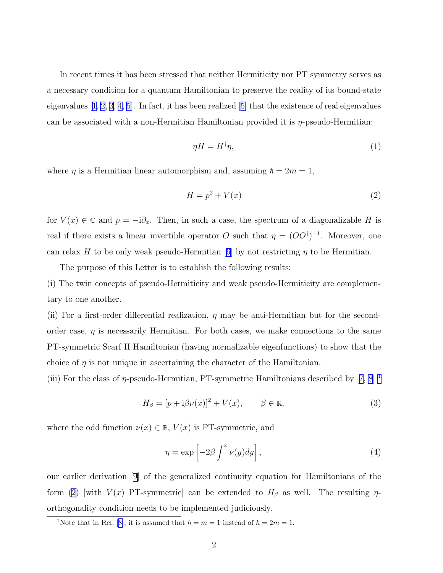<span id="page-1-0"></span>In recent times it has been stressed that neither Hermiticity nor PT symmetry serves as a necessary condition for a quantum Hamiltonian to preserve the reality of its bound-state eigenvalues[[1](#page-7-0), [2](#page-7-0), [3](#page-7-0), [4, 5\]](#page-7-0). In fact, it has been realized[[5\]](#page-7-0) that the existence of real eigenvalues can be associated with a non-Hermitian Hamiltonian provided it is  $\eta$ -pseudo-Hermitian:

$$
\eta H = H^{\dagger} \eta,\tag{1}
$$

where  $\eta$  is a Hermitian linear automorphism and, assuming  $\hbar = 2m = 1$ ,

$$
H = p^2 + V(x) \tag{2}
$$

for  $V(x) \in \mathbb{C}$  and  $p = -i\partial_x$ . Then, in such a case, the spectrum of a diagonalizable H is real if there exists a linear invertible operator O such that  $\eta = (OO^{\dagger})^{-1}$ . Moreover, one canrelax H to be only weak pseudo-Hermitian [[6\]](#page-7-0) by not restricting  $\eta$  to be Hermitian.

The purpose of this Letter is to establish the following results:

(i) The twin concepts of pseudo-Hermiticity and weak pseudo-Hermiticity are complementary to one another.

(ii) For a first-order differential realization,  $\eta$  may be anti-Hermitian but for the secondorder case,  $\eta$  is necessarily Hermitian. For both cases, we make connections to the same PT-symmetric Scarf II Hamiltonian (having normalizable eigenfunctions) to show that the choice of  $\eta$  is not unique in ascertaining the character of the Hamiltonian.

(iii)For the class of  $\eta$ -pseudo-Hermitian, PT-symmetric Hamiltonians described by [[7](#page-7-0), [8](#page-7-0)]  $\perp$ 

$$
H_{\beta} = [p + i\beta\nu(x)]^2 + V(x), \qquad \beta \in \mathbb{R}, \tag{3}
$$

where the odd function  $\nu(x) \in \mathbb{R}$ ,  $V(x)$  is PT-symmetric, and

$$
\eta = \exp\left[-2\beta \int^x \nu(y) dy\right],\tag{4}
$$

our earlier derivation [\[9\]](#page-7-0) of the generalized continuity equation for Hamiltonians of the form (2) [with  $V(x)$  PT-symmetric] can be extended to  $H_\beta$  as well. The resulting  $\eta$ orthogonality condition needs to be implemented judiciously.

<sup>&</sup>lt;sup>1</sup>Notethat in Ref. [[8\]](#page-7-0), it is assumed that  $\hbar = m = 1$  instead of  $\hbar = 2m = 1$ .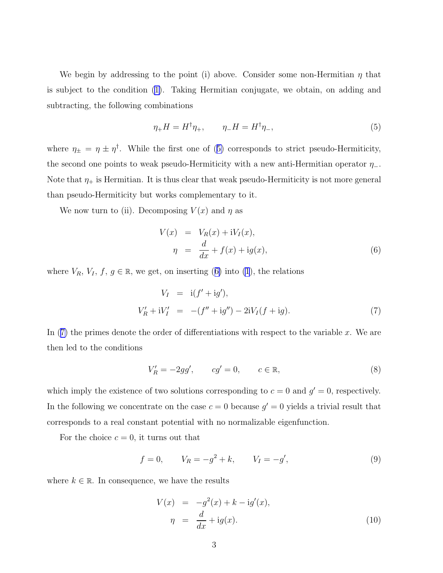<span id="page-2-0"></span>We begin by addressing to the point (i) above. Consider some non-Hermitian  $\eta$  that is subject to the condition([1\)](#page-1-0). Taking Hermitian conjugate, we obtain, on adding and subtracting, the following combinations

$$
\eta_+ H = H^\dagger \eta_+, \qquad \eta_- H = H^\dagger \eta_-, \tag{5}
$$

where  $\eta_{\pm} = \eta \pm \eta^{\dagger}$ . While the first one of (5) corresponds to strict pseudo-Hermiticity, the second one points to weak pseudo-Hermiticity with a new anti-Hermitian operator  $\eta$ <sub>-</sub>. Note that  $\eta_+$  is Hermitian. It is thus clear that weak pseudo-Hermiticity is not more general than pseudo-Hermiticity but works complementary to it.

We now turn to (ii). Decomposing  $V(x)$  and  $\eta$  as

$$
V(x) = V_R(x) + iV_I(x),
$$
  
\n
$$
\eta = \frac{d}{dx} + f(x) + ig(x),
$$
\n(6)

where  $V_R$ ,  $V_I$ ,  $f, g \in \mathbb{R}$ , we get, on inserting (6) into [\(1](#page-1-0)), the relations

$$
V_I = i(f' + ig'),
$$
  
\n
$$
V'_R + iV'_I = -(f'' + ig'') - 2iV_I(f + ig).
$$
\n(7)

In  $(7)$  the primes denote the order of differentiations with respect to the variable x. We are then led to the conditions

$$
V'_R = -2gg', \qquad cg' = 0, \qquad c \in \mathbb{R}, \tag{8}
$$

which imply the existence of two solutions corresponding to  $c = 0$  and  $g' = 0$ , respectively. In the following we concentrate on the case  $c = 0$  because  $g' = 0$  yields a trivial result that corresponds to a real constant potential with no normalizable eigenfunction.

For the choice  $c = 0$ , it turns out that

$$
f = 0,
$$
  $V_R = -g^2 + k,$   $V_I = -g',$  (9)

where  $k \in \mathbb{R}$ . In consequence, we have the results

$$
V(x) = -g2(x) + k - ig'(x),
$$
  
\n
$$
\eta = \frac{d}{dx} + ig(x).
$$
\n(10)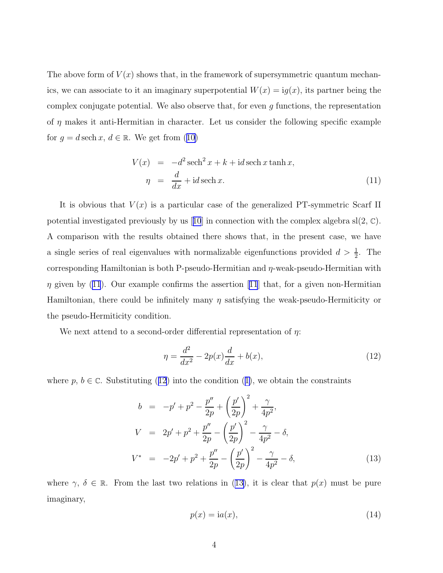The above form of  $V(x)$  shows that, in the framework of supersymmetric quantum mechanics, we can associate to it an imaginary superpotential  $W(x) = ig(x)$ , its partner being the complex conjugate potential. We also observe that, for even  $g$  functions, the representation of  $\eta$  makes it anti-Hermitian in character. Let us consider the following specific example for $g = d \sech x, d \in \mathbb{R}$ . We get from ([10\)](#page-2-0)

$$
V(x) = -d^2 \operatorname{sech}^2 x + k + \operatorname{id} \operatorname{sech} x \tanh x,
$$
  

$$
\eta = \frac{d}{dx} + \operatorname{id} \operatorname{sech} x.
$$
 (11)

It is obvious that  $V(x)$  is a particular case of the generalized PT-symmetric Scarf II potentialinvestigated previously by us [[10](#page-7-0)] in connection with the complex algebra  $sl(2, \mathbb{C})$ . A comparison with the results obtained there shows that, in the present case, we have a single series of real eigenvalues with normalizable eigenfunctions provided  $d > \frac{1}{2}$ . The corresponding Hamiltonian is both P-pseudo-Hermitian and  $\eta$ -weak-pseudo-Hermitian with  $\eta$ given by ([11](#page-7-0)). Our example confirms the assertion [11] that, for a given non-Hermitian Hamiltonian, there could be infinitely many  $\eta$  satisfying the weak-pseudo-Hermiticity or the pseudo-Hermiticity condition.

We next attend to a second-order differential representation of  $\eta$ :

$$
\eta = \frac{d^2}{dx^2} - 2p(x)\frac{d}{dx} + b(x),
$$
\n(12)

where $p, b \in \mathbb{C}$ . Substituting (12) into the condition ([1\)](#page-1-0), we obtain the constraints

$$
b = -p' + p^2 - \frac{p''}{2p} + \left(\frac{p'}{2p}\right)^2 + \frac{\gamma}{4p^2},
$$
  
\n
$$
V = 2p' + p^2 + \frac{p''}{2p} - \left(\frac{p'}{2p}\right)^2 - \frac{\gamma}{4p^2} - \delta,
$$
  
\n
$$
V^* = -2p' + p^2 + \frac{p''}{2p} - \left(\frac{p'}{2p}\right)^2 - \frac{\gamma}{4p^2} - \delta,
$$
\n(13)

where  $\gamma, \delta \in \mathbb{R}$ . From the last two relations in (13), it is clear that  $p(x)$  must be pure imaginary,

$$
p(x) = \text{i}a(x),\tag{14}
$$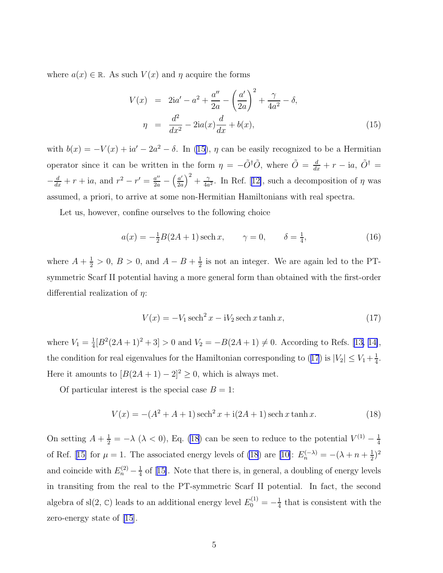where  $a(x) \in \mathbb{R}$ . As such  $V(x)$  and  $\eta$  acquire the forms

$$
V(x) = 2ia' - a^{2} + \frac{a''}{2a} - \left(\frac{a'}{2a}\right)^{2} + \frac{\gamma}{4a^{2}} - \delta,
$$
  

$$
\eta = \frac{d^{2}}{dx^{2}} - 2ia(x)\frac{d}{dx} + b(x),
$$
 (15)

with  $b(x) = -V(x) + i a' - 2a^2 - \delta$ . In (15),  $\eta$  can be easily recognized to be a Hermitian operator since it can be written in the form  $\eta = -\tilde{O}^{\dagger} \tilde{O}$ , where  $\tilde{O} = \frac{d}{dx} + r - ia$ ,  $\tilde{O}^{\dagger} =$  $-\frac{d}{dx} + r + i a$ , and  $r^2 - r' = \frac{a''}{2a} - \left(\frac{a'}{2a}\right)$  $\frac{a'}{2a}\Big)^2+\frac{\gamma}{4a}$  $\frac{\gamma}{4a^2}$ .In Ref. [[12\]](#page-7-0), such a decomposition of  $\eta$  was assumed, a priori, to arrive at some non-Hermitian Hamiltonians with real spectra.

Let us, however, confine ourselves to the following choice

$$
a(x) = -\frac{1}{2}B(2A+1)\,\text{sech}\,x, \qquad \gamma = 0, \qquad \delta = \frac{1}{4}, \tag{16}
$$

where  $A + \frac{1}{2} > 0$ ,  $B > 0$ , and  $A - B + \frac{1}{2}$  $\frac{1}{2}$  is not an integer. We are again led to the PTsymmetric Scarf II potential having a more general form than obtained with the first-order differential realization of  $\eta$ :

$$
V(x) = -V_1 \operatorname{sech}^2 x - iV_2 \operatorname{sech} x \tanh x,\tag{17}
$$

where  $V_1 = \frac{1}{4}$  $\frac{1}{4}[B^2(2A+1)^2+3] > 0$  and  $V_2 = -B(2A+1) \neq 0$ . According to Refs. [\[13, 14\]](#page-7-0), the condition for real eigenvalues for the Hamiltonian corresponding to (17) is  $|V_2| \le V_1 + \frac{1}{4}$  $\frac{1}{4}$ . Here it amounts to  $[B(2A + 1) - 2]^2 \ge 0$ , which is always met.

Of particular interest is the special case  $B = 1$ :

$$
V(x) = -(A2 + A + 1)\text{ sech}^{2} x + i(2A + 1)\text{ sech }x\tanh x.
$$
 (18)

On setting  $A + \frac{1}{2} = -\lambda \ (\lambda < 0)$ , Eq. (18) can be seen to reduce to the potential  $V^{(1)} - \frac{1}{4}$ 4 ofRef. [[15\]](#page-7-0) for  $\mu = 1$ . The associated energy levels of (18) are [\[10\]](#page-7-0):  $E_n^{(-\lambda)} = -(\lambda + n + \frac{1}{2})$  $(\frac{1}{2})^2$ and coincide with  $E_n^{(2)} - \frac{1}{4}$  $\frac{1}{4}$ of [[15\]](#page-7-0). Note that there is, in general, a doubling of energy levels in transiting from the real to the PT-symmetric Scarf II potential. In fact, the second algebra of sl $(2, \mathbb{C})$  leads to an additional energy level  $E_0^{(1)} = -\frac{1}{4}$  $\frac{1}{4}$  that is consistent with the zero-energy state of [\[15\]](#page-7-0).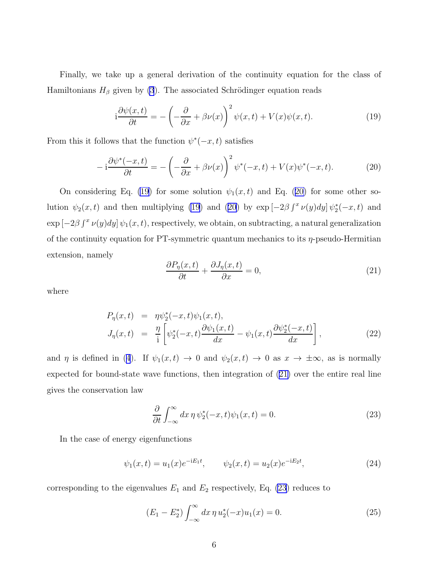<span id="page-5-0"></span>Finally, we take up a general derivation of the continuity equation for the class of Hamiltonians  $H_\beta$  given by [\(3](#page-1-0)). The associated Schrödinger equation reads

$$
i\frac{\partial\psi(x,t)}{\partial t} = -\left(-\frac{\partial}{\partial x} + \beta\nu(x)\right)^2 \psi(x,t) + V(x)\psi(x,t).
$$
 (19)

From this it follows that the function  $\psi^*(-x,t)$  satisfies

$$
-i\frac{\partial \psi^*(-x,t)}{\partial t} = -\left(-\frac{\partial}{\partial x} + \beta \nu(x)\right)^2 \psi^*(-x,t) + V(x)\psi^*(-x,t). \tag{20}
$$

On considering Eq. (19) for some solution  $\psi_1(x,t)$  and Eq. (20) for some other solution  $\psi_2(x,t)$  and then multiplying (19) and (20) by  $\exp[-2\beta \int^x \nu(y) dy] \psi_2^*(-x,t)$  and  $\exp[-2\beta \int^x \nu(y) dy] \psi_1(x,t)$ , respectively, we obtain, on subtracting, a natural generalization of the continuity equation for PT-symmetric quantum mechanics to its  $\eta$ -pseudo-Hermitian extension, namely

$$
\frac{\partial P_{\eta}(x,t)}{\partial t} + \frac{\partial J_{\eta}(x,t)}{\partial x} = 0, \tag{21}
$$

where

$$
P_{\eta}(x,t) = \eta \psi_2^*(-x,t)\psi_1(x,t),
$$
  
\n
$$
J_{\eta}(x,t) = \frac{\eta}{i} \left[ \psi_2^*(-x,t) \frac{\partial \psi_1(x,t)}{\partial x} - \psi_1(x,t) \frac{\partial \psi_2^*(-x,t)}{\partial x} \right],
$$
\n(22)

and $\eta$  is defined in ([4](#page-1-0)). If  $\psi_1(x,t) \to 0$  and  $\psi_2(x,t) \to 0$  as  $x \to \pm \infty$ , as is normally expected for bound-state wave functions, then integration of (21) over the entire real line gives the conservation law

$$
\frac{\partial}{\partial t} \int_{-\infty}^{\infty} dx \, \eta \, \psi_2^*(-x, t) \psi_1(x, t) = 0. \tag{23}
$$

In the case of energy eigenfunctions

$$
\psi_1(x,t) = u_1(x)e^{-iE_1t}, \qquad \psi_2(x,t) = u_2(x)e^{-iE_2t}, \tag{24}
$$

corresponding to the eigenvalues  $E_1$  and  $E_2$  respectively, Eq. (23) reduces to

$$
(E_1 - E_2^*) \int_{-\infty}^{\infty} dx \, \eta \, u_2^*(-x) u_1(x) = 0. \tag{25}
$$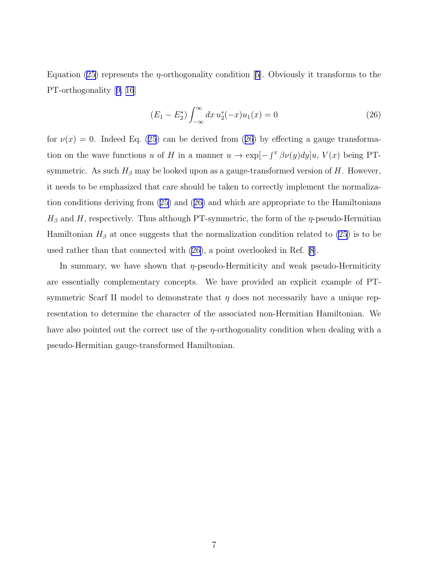Equation [\(25\)](#page-5-0) represents the  $\eta$ -orthogonality condition [\[5\]](#page-7-0). Obviously it transforms to the PT-orthogonality[[9, 16](#page-7-0)]

$$
(E_1 - E_2^*) \int_{-\infty}^{\infty} dx \, u_2^*(-x) u_1(x) = 0 \tag{26}
$$

for $\nu(x) = 0$ . Indeed Eq. ([25](#page-5-0)) can be derived from (26) by effecting a gauge transformation on the wave functions u of H in a manner  $u \to \exp[-\int^x \beta \nu(y) dy]u$ ,  $V(x)$  being PTsymmetric. As such  $H_\beta$  may be looked upon as a gauge-transformed version of H. However, it needs to be emphasized that care should be taken to correctly implement the normalization conditions deriving from [\(25\)](#page-5-0) and (26) and which are appropriate to the Hamiltonians  $H_\beta$  and H, respectively. Thus although PT-symmetric, the form of the  $\eta$ -pseudo-Hermitian Hamiltonian  $H_\beta$  at once suggests that the normalization condition related to [\(25](#page-5-0)) is to be used rather than that connected with (26), a point overlooked in Ref. [\[8](#page-7-0)].

In summary, we have shown that  $\eta$ -pseudo-Hermiticity and weak pseudo-Hermiticity are essentially complementary concepts. We have provided an explicit example of PTsymmetric Scarf II model to demonstrate that  $\eta$  does not necessarily have a unique representation to determine the character of the associated non-Hermitian Hamiltonian. We have also pointed out the correct use of the  $\eta$ -orthogonality condition when dealing with a pseudo-Hermitian gauge-transformed Hamiltonian.